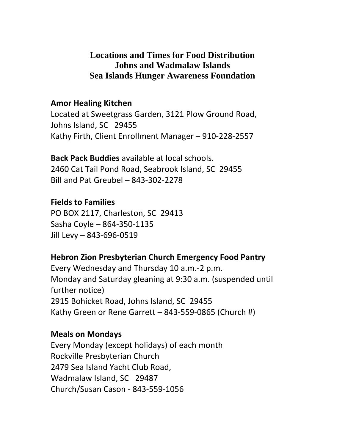# **Locations and Times for Food Distribution Johns and Wadmalaw Islands Sea Islands Hunger Awareness Foundation**

## **Amor Healing Kitchen**

Located at Sweetgrass Garden, 3121 Plow Ground Road, Johns Island, SC 29455 Kathy Firth, Client Enrollment Manager – 910-228-2557

**Back Pack Buddies** available at local schools. 2460 Cat Tail Pond Road, Seabrook Island, SC 29455 Bill and Pat Greubel – 843-302-2278

**Fields to Families**  PO BOX 2117, Charleston, SC 29413 Sasha Coyle – 864-350-1135 Jill Levy – 843-696-0519

# **Hebron Zion Presbyterian Church Emergency Food Pantry**

Every Wednesday and Thursday 10 a.m.-2 p.m. Monday and Saturday gleaning at 9:30 a.m. (suspended until further notice) 2915 Bohicket Road, Johns Island, SC 29455 Kathy Green or Rene Garrett – 843-559-0865 (Church #)

## **Meals on Mondays**

Every Monday (except holidays) of each month Rockville Presbyterian Church 2479 Sea Island Yacht Club Road, Wadmalaw Island, SC 29487 Church/Susan Cason - 843-559-1056